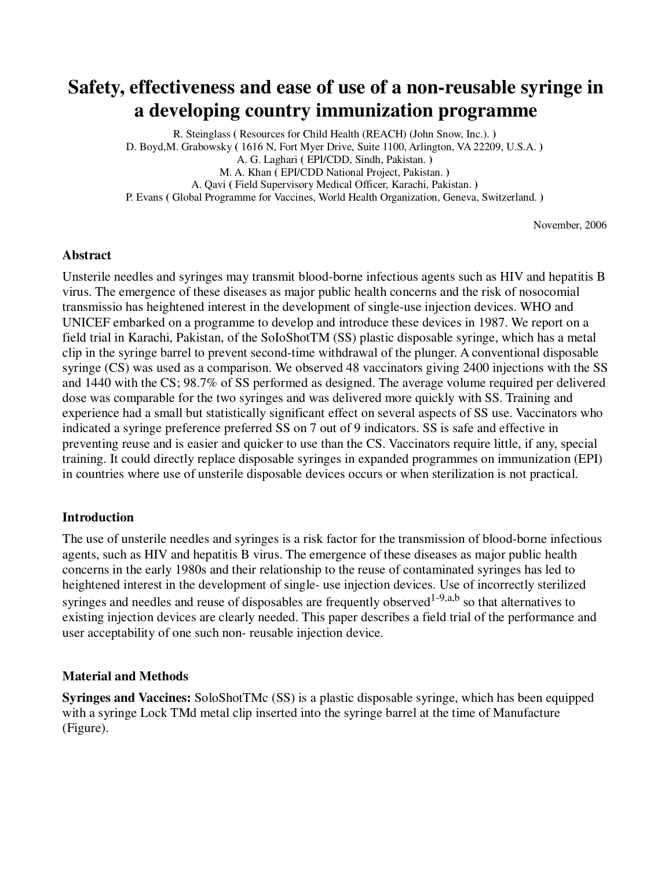## **Safety, effectiveness and ease of use of a non-reusable syringe in a developing country immunization programme**

R. Steinglass **(** Resources for Child Health (REACH) (John Snow, Inc.). **)**  D. Boyd,M. Grabowsky **(** 1616 N, Fort Myer Drive, Suite 1100, Arlington, VA 22209, U.S.A. **)**  A. G. Laghari **(** EPI/CDD, Sindh, Pakistan. **)**  M. A. Khan **(** EPI/CDD National Project, Pakistan. **)**  A. Qavi **(** Field Supervisory Medical Officer, Karachi, Pakistan. **)**  P. Evans **(** Global Programme for Vaccines, World Health Organization, Geneva, Switzerland. **)** 

November, 2006

### **Abstract**

Unsterile needles and syringes may transmit blood-borne infectious agents such as HIV and hepatitis B virus. The emergence of these diseases as major public health concerns and the risk of nosocomial transmissio has heightened interest in the development of single-use injection devices. WHO and UNICEF embarked on a programme to develop and introduce these devices in 1987. We report on a field trial in Karachi, Pakistan, of the SoIoShotTM (SS) plastic disposable syringe, which has a metal clip in the syringe barrel to prevent second-time withdrawal of the plunger. A conventional disposable syringe (CS) was used as a comparison. We observed 48 vaccinators giving 2400 injections with the SS and 1440 with the CS; 98.7% of SS performed as designed. The average volume required per delivered dose was comparable for the two syringes and was delivered more quickly with SS. Training and experience had a small but statistically significant effect on several aspects of SS use. Vaccinators who indicated a syringe preference preferred SS on 7 out of 9 indicators. SS is safe and effective in preventing reuse and is easier and quicker to use than the CS. Vaccinators require little, if any, special training. It could directly replace disposable syringes in expanded programmes on immunization (EPI) in countries where use of unsterile disposable devices occurs or when sterilization is not practical.

### **Introduction**

The use of unsterile needles and syringes is a risk factor for the transmission of blood-borne infectious agents, such as HIV and hepatitis B virus. The emergence of these diseases as major public health concerns in the early 1980s and their relationship to the reuse of contaminated syringes has led to heightened interest in the development of single- use injection devices. Use of incorrectly sterilized syringes and needles and reuse of disposables are frequently observed<sup>1-9,a,b</sup> so that alternatives to existing injection devices are clearly needed. This paper describes a field trial of the performance and user acceptability of one such non- reusable injection device.

### **Material and Methods**

**Syringes and Vaccines:** SoloShotTMc (SS) is a plastic disposable syringe, which has been equipped with a syringe Lock TMd metal clip inserted into the syringe barrel at the time of Manufacture (Figure).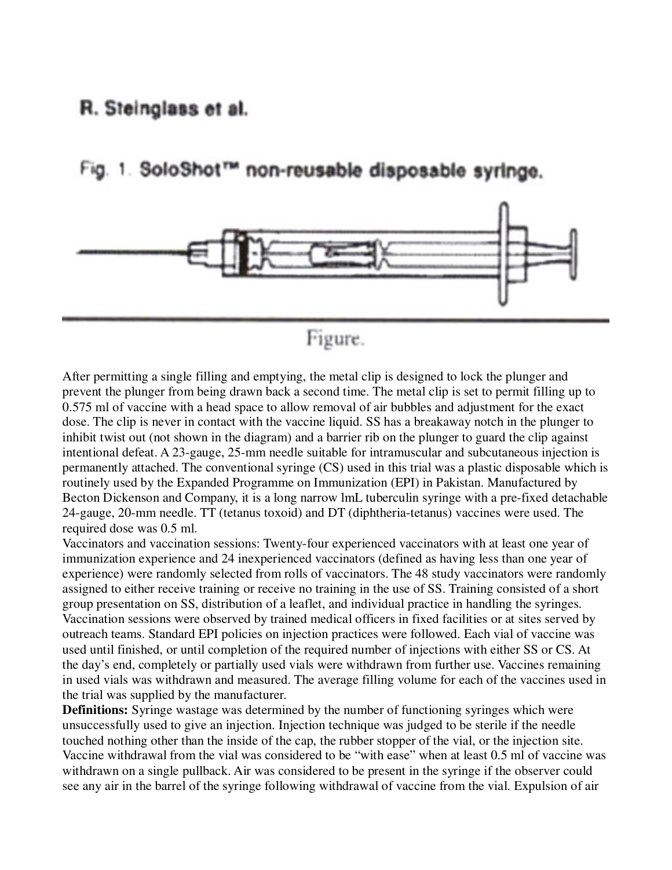### R. Steinglass et al.

Fig. 1. SoloShot™ non-reusable disposable syringe.



# Figure.

After permitting a single filling and emptying, the metal clip is designed to lock the plunger and prevent the plunger from being drawn back a second time. The metal clip is set to permit filling up to 0.575 ml of vaccine with a head space to allow removal of air bubbles and adjustment for the exact dose. The clip is never in contact with the vaccine liquid. SS has a breakaway notch in the plunger to inhibit twist out (not shown in the diagram) and a barrier rib on the plunger to guard the clip against intentional defeat. A 23-gauge, 25-mm needle suitable for intramuscular and subcutaneous injection is permanently attached. The conventional syringe (CS) used in this trial was a plastic disposable which is routinely used by the Expanded Programme on Immunization (EPI) in Pakistan. Manufactured by Becton Dickenson and Company, it is a long narrow lmL tuberculin syringe with a pre-fixed detachable 24-gauge, 20-mm needle. TT (tetanus toxoid) and DT (diphtheria-tetanus) vaccines were used. The required dose was 0.5 ml.

Vaccinators and vaccination sessions: Twenty-four experienced vaccinators with at least one year of immunization experience and 24 inexperienced vaccinators (defined as having less than one year of experience) were randomly selected from rolls of vaccinators. The 48 study vaccinators were randomly assigned to either receive training or receive no training in the use of SS. Training consisted of a short group presentation on SS, distribution of a leaflet, and individual practice in handling the syringes. Vaccination sessions were observed by trained medical officers in fixed facilities or at sites served by outreach teams. Standard EPI policies on injection practices were followed. Each vial of vaccine was used until finished, or until completion of the required number of injections with either SS or CS. At the day's end, completely or partially used vials were withdrawn from further use. Vaccines remaining in used vials was withdrawn and measured. The average filling volume for each of the vaccines used in the trial was supplied by the manufacturer.

**Definitions:** Syringe wastage was determined by the number of functioning syringes which were unsuccessfully used to give an injection. Injection technique was judged to be sterile if the needle touched nothing other than the inside of the cap, the rubber stopper of the vial, or the injection site. Vaccine withdrawal from the vial was considered to be "with ease" when at least 0.5 ml of vaccine was withdrawn on a single pullback. Air was considered to be present in the syringe if the observer could see any air in the barrel of the syringe following withdrawal of vaccine from the vial. Expulsion of air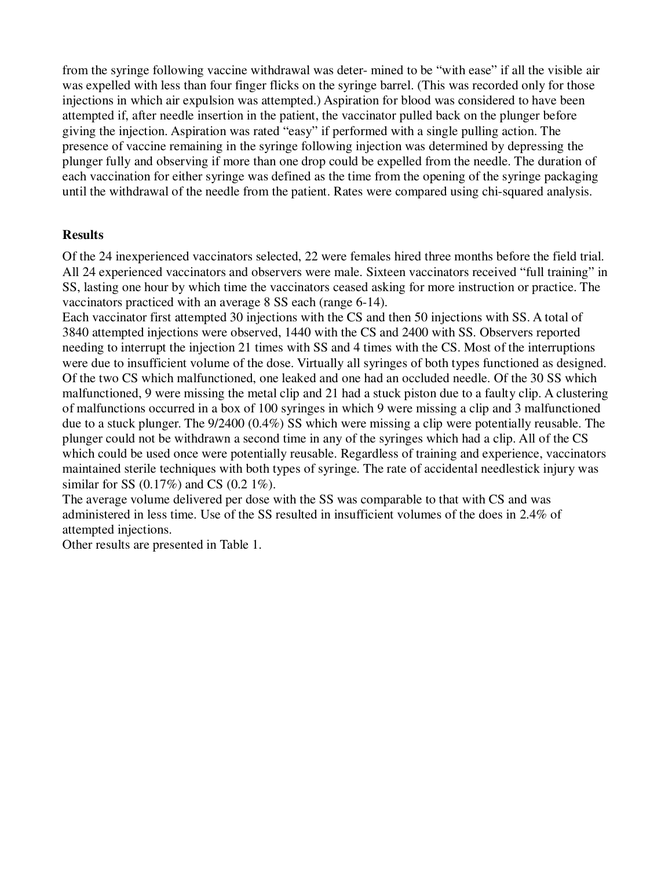from the syringe following vaccine withdrawal was deter- mined to be "with ease" if all the visible air was expelled with less than four finger flicks on the syringe barrel. (This was recorded only for those injections in which air expulsion was attempted.) Aspiration for blood was considered to have been attempted if, after needle insertion in the patient, the vaccinator pulled back on the plunger before giving the injection. Aspiration was rated "easy" if performed with a single pulling action. The presence of vaccine remaining in the syringe following injection was determined by depressing the plunger fully and observing if more than one drop could be expelled from the needle. The duration of each vaccination for either syringe was defined as the time from the opening of the syringe packaging until the withdrawal of the needle from the patient. Rates were compared using chi-squared analysis.

### **Results**

Of the 24 inexperienced vaccinators selected, 22 were females hired three months before the field trial. All 24 experienced vaccinators and observers were male. Sixteen vaccinators received "full training" in SS, lasting one hour by which time the vaccinators ceased asking for more instruction or practice. The vaccinators practiced with an average 8 SS each (range 6-14).

Each vaccinator first attempted 30 injections with the CS and then 50 injections with SS. A total of 3840 attempted injections were observed, 1440 with the CS and 2400 with SS. Observers reported needing to interrupt the injection 21 times with SS and 4 times with the CS. Most of the interruptions were due to insufficient volume of the dose. Virtually all syringes of both types functioned as designed. Of the two CS which malfunctioned, one leaked and one had an occluded needle. Of the 30 SS which malfunctioned, 9 were missing the metal clip and 21 had a stuck piston due to a faulty clip. A clustering of malfunctions occurred in a box of 100 syringes in which 9 were missing a clip and 3 malfunctioned due to a stuck plunger. The 9/2400 (0.4%) SS which were missing a clip were potentially reusable. The plunger could not be withdrawn a second time in any of the syringes which had a clip. All of the CS which could be used once were potentially reusable. Regardless of training and experience, vaccinators maintained sterile techniques with both types of syringe. The rate of accidental needlestick injury was similar for SS  $(0.17\%)$  and CS  $(0.2 1\%)$ .

The average volume delivered per dose with the SS was comparable to that with CS and was administered in less time. Use of the SS resulted in insufficient volumes of the does in 2.4% of attempted injections.

Other results are presented in Table 1.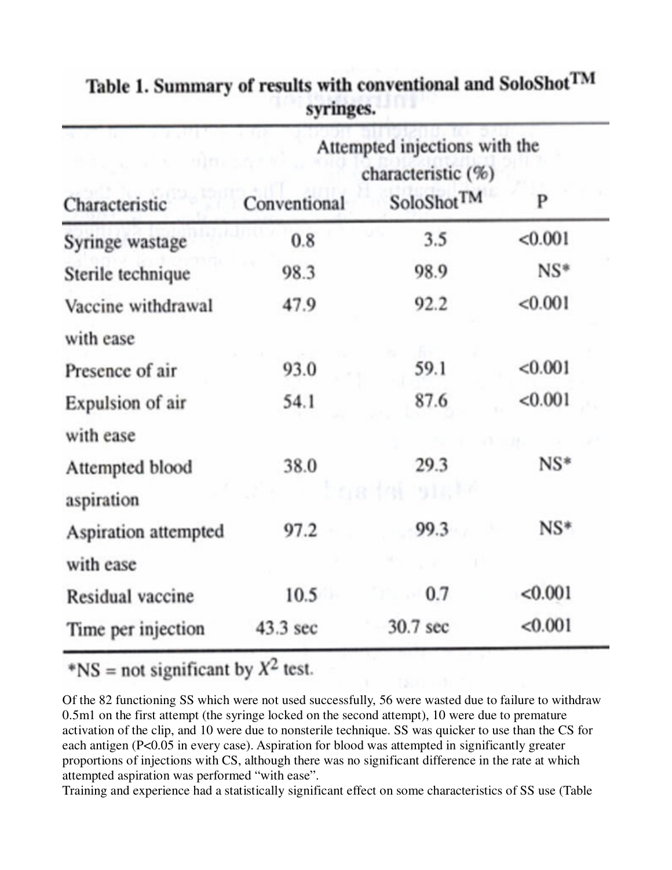|                      | Attempted injections with the<br>characteristic (%) |                        |         |  |  |
|----------------------|-----------------------------------------------------|------------------------|---------|--|--|
| Characteristic       | Conventional                                        | SoloShot <sup>TM</sup> | P       |  |  |
| Syringe wastage      | 0.8                                                 | 3.5                    | < 0.001 |  |  |
| Sterile technique    | 98.3                                                | 98.9                   | $NS*$   |  |  |
| Vaccine withdrawal   | 47.9                                                | 92.2                   | < 0.001 |  |  |
| with ease            |                                                     |                        |         |  |  |
| Presence of air      | 93.0                                                | 59.1                   | < 0.001 |  |  |
| Expulsion of air     | 54.1                                                | 87.6                   | < 0.001 |  |  |
| with ease            |                                                     |                        |         |  |  |
| Attempted blood      | 38.0                                                | 29.3                   | $NS*$   |  |  |
| aspiration           |                                                     | 1917.<br>788           |         |  |  |
| Aspiration attempted | 97.2                                                | 99.3                   | $NS*$   |  |  |
| with ease            |                                                     |                        |         |  |  |
| Residual vaccine     | 10.5                                                | 0.7                    | < 0.001 |  |  |
| Time per injection   | 43.3 sec                                            | 30.7 sec               | < 0.001 |  |  |

Table 1. Summary of results with conventional and SoloShot<sup>TM</sup> syringes.

\*NS = not significant by  $X^2$  test.

Of the 82 functioning SS which were not used successfully, 56 were wasted due to failure to withdraw 0.5m1 on the first attempt (the syringe locked on the second attempt), 10 were due to premature activation of the clip, and 10 were due to nonsterile technique. SS was quicker to use than the CS for each antigen (P<0.05 in every case). Aspiration for blood was attempted in significantly greater proportions of injections with CS, although there was no significant difference in the rate at which attempted aspiration was performed "with ease".

Training and experience had a statistically significant effect on some characteristics of SS use (Table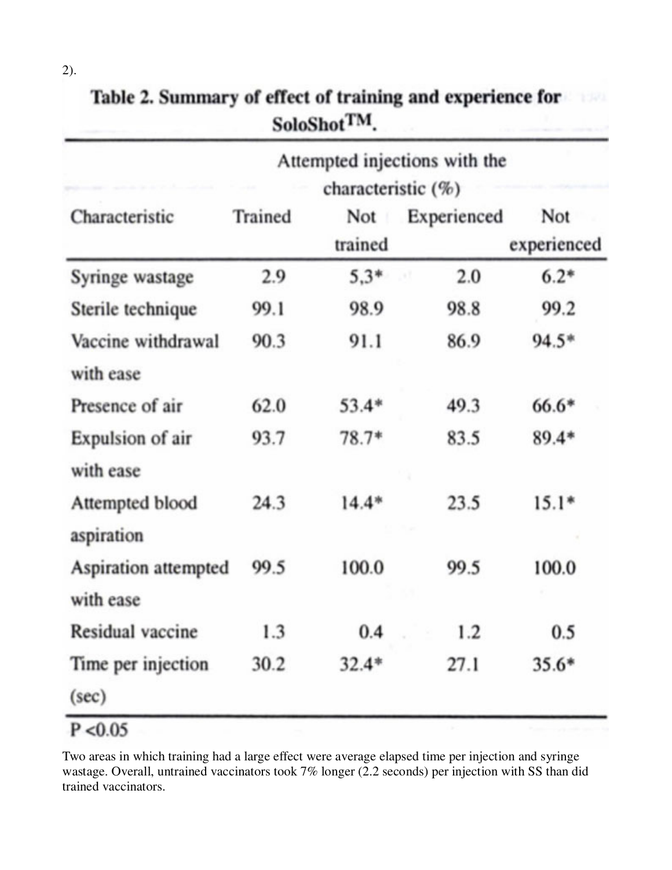| Table 2. Summary of effect of training and experience for<br>1321<br>SoloShot <sup>TM</sup> . |                      |             |                    |  |  |  |
|-----------------------------------------------------------------------------------------------|----------------------|-------------|--------------------|--|--|--|
| Attempted injections with the<br>characteristic (%)                                           |                      |             |                    |  |  |  |
| Trained                                                                                       | Not<br>trained       | Experienced | Not<br>experienced |  |  |  |
| 2.9                                                                                           | $5.3*$               | 2.0         | $6.2*$             |  |  |  |
| 99.1                                                                                          | 98.9                 | 98.8        | 99.2               |  |  |  |
| 90.3                                                                                          | 91.1                 | 86.9        | $94.5*$            |  |  |  |
| 62.0                                                                                          | $53.4*$              | 49.3        | $66.6*$            |  |  |  |
| 93.7                                                                                          | $78.7*$              | 83.5        | $89.4*$            |  |  |  |
| 24.3                                                                                          | $14.4*$              | 23.5        | $15.1*$            |  |  |  |
| 99.5                                                                                          | 100.0                | 99.5        | 100.0              |  |  |  |
| 1.3                                                                                           | 0.4                  | 1.2         | 0.5                |  |  |  |
| 30.2                                                                                          | $32.4*$              | 27.1        | $35.6*$            |  |  |  |
|                                                                                               | Aspiration attempted |             |                    |  |  |  |

Two areas in which training had a large effect were average elapsed time per injection and syringe wastage. Overall, untrained vaccinators took 7% longer (2.2 seconds) per injection with SS than did trained vaccinators.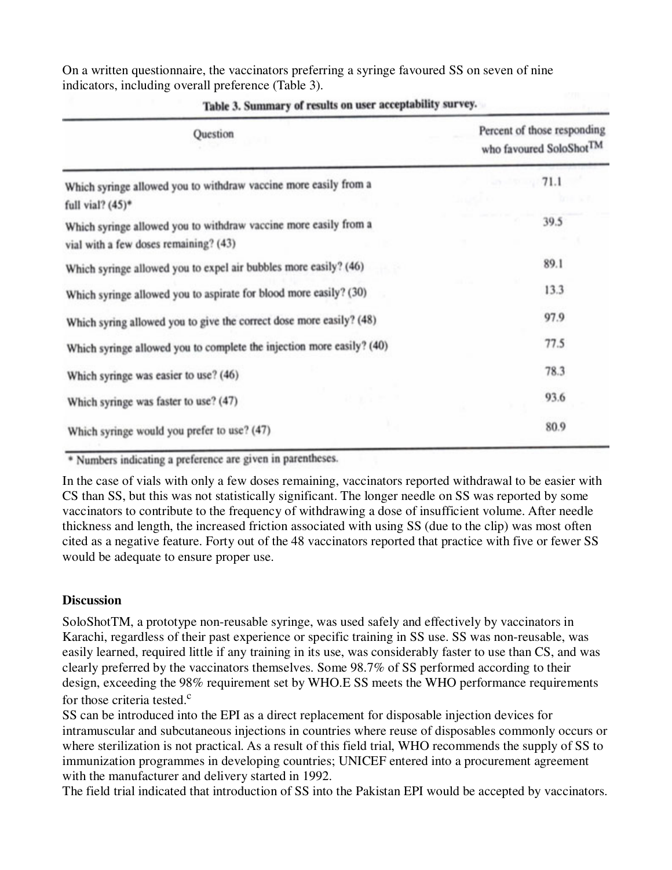On a written questionnaire, the vaccinators preferring a syringe favoured SS on seven of nine indicators, including overall preference (Table 3).

| Question                                                                                                  | Percent of those responding<br>who favoured SoloShot <sup>TM</sup> |  |
|-----------------------------------------------------------------------------------------------------------|--------------------------------------------------------------------|--|
| Which syringe allowed you to withdraw vaccine more easily from a<br>full vial? $(45)^*$                   | 71.1                                                               |  |
| Which syringe allowed you to withdraw vaccine more easily from a<br>vial with a few doses remaining? (43) | 39.5                                                               |  |
| Which syringe allowed you to expel air bubbles more easily? (46)                                          | 89.1                                                               |  |
| Which syringe allowed you to aspirate for blood more easily? (30)                                         | 13.3                                                               |  |
| Which syring allowed you to give the correct dose more easily? (48)                                       | 97.9                                                               |  |
| Which syringe allowed you to complete the injection more easily? (40)                                     | 77.5                                                               |  |
| Which syringe was easier to use? (46)                                                                     | 78.3                                                               |  |
| Which syringe was faster to use? (47)                                                                     | 93.6                                                               |  |
| Which syringe would you prefer to use? (47)                                                               | 80.9                                                               |  |

Table 3. Summary of results on user acceptability survey.

\* Numbers indicating a preference are given in parentheses.

In the case of vials with only a few doses remaining, vaccinators reported withdrawal to be easier with CS than SS, but this was not statistically significant. The longer needle on SS was reported by some vaccinators to contribute to the frequency of withdrawing a dose of insufficient volume. After needle thickness and length, the increased friction associated with using SS (due to the clip) was most often cited as a negative feature. Forty out of the 48 vaccinators reported that practice with five or fewer SS would be adequate to ensure proper use.

### **Discussion**

SoloShotTM, a prototype non-reusable syringe, was used safely and effectively by vaccinators in Karachi, regardless of their past experience or specific training in SS use. SS was non-reusable, was easily learned, required little if any training in its use, was considerably faster to use than CS, and was clearly preferred by the vaccinators themselves. Some 98.7% of SS performed according to their design, exceeding the 98% requirement set by WHO.E SS meets the WHO performance requirements for those criteria tested. $c$ 

SS can be introduced into the EPI as a direct replacement for disposable injection devices for intramuscular and subcutaneous injections in countries where reuse of disposables commonly occurs or where sterilization is not practical. As a result of this field trial, WHO recommends the supply of SS to immunization programmes in developing countries; UNICEF entered into a procurement agreement with the manufacturer and delivery started in 1992.

The field trial indicated that introduction of SS into the Pakistan EPI would be accepted by vaccinators.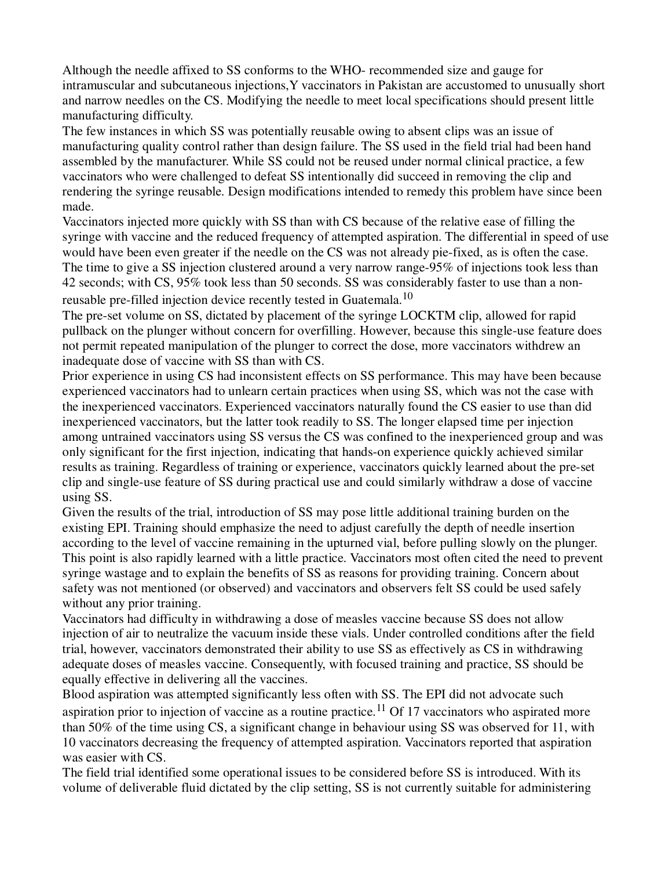Although the needle affixed to SS conforms to the WHO- recommended size and gauge for intramuscular and subcutaneous injections,Y vaccinators in Pakistan are accustomed to unusually short and narrow needles on the CS. Modifying the needle to meet local specifications should present little manufacturing difficulty.

The few instances in which SS was potentially reusable owing to absent clips was an issue of manufacturing quality control rather than design failure. The SS used in the field trial had been hand assembled by the manufacturer. While SS could not be reused under normal clinical practice, a few vaccinators who were challenged to defeat SS intentionally did succeed in removing the clip and rendering the syringe reusable. Design modifications intended to remedy this problem have since been made.

Vaccinators injected more quickly with SS than with CS because of the relative ease of filling the syringe with vaccine and the reduced frequency of attempted aspiration. The differential in speed of use would have been even greater if the needle on the CS was not already pie-fixed, as is often the case. The time to give a SS injection clustered around a very narrow range-95% of injections took less than 42 seconds; with CS, 95% took less than 50 seconds. SS was considerably faster to use than a nonreusable pre-filled injection device recently tested in Guatemala.<sup>10</sup>

The pre-set volume on SS, dictated by placement of the syringe LOCKTM clip, allowed for rapid pullback on the plunger without concern for overfilling. However, because this single-use feature does not permit repeated manipulation of the plunger to correct the dose, more vaccinators withdrew an inadequate dose of vaccine with SS than with CS.

Prior experience in using CS had inconsistent effects on SS performance. This may have been because experienced vaccinators had to unlearn certain practices when using SS, which was not the case with the inexperienced vaccinators. Experienced vaccinators naturally found the CS easier to use than did inexperienced vaccinators, but the latter took readily to SS. The longer elapsed time per injection among untrained vaccinators using SS versus the CS was confined to the inexperienced group and was only significant for the first injection, indicating that hands-on experience quickly achieved similar results as training. Regardless of training or experience, vaccinators quickly learned about the pre-set clip and single-use feature of SS during practical use and could similarly withdraw a dose of vaccine using SS.

Given the results of the trial, introduction of SS may pose little additional training burden on the existing EPI. Training should emphasize the need to adjust carefully the depth of needle insertion according to the level of vaccine remaining in the upturned vial, before pulling slowly on the plunger. This point is also rapidly learned with a little practice. Vaccinators most often cited the need to prevent syringe wastage and to explain the benefits of SS as reasons for providing training. Concern about safety was not mentioned (or observed) and vaccinators and observers felt SS could be used safely without any prior training.

Vaccinators had difficulty in withdrawing a dose of measles vaccine because SS does not allow injection of air to neutralize the vacuum inside these vials. Under controlled conditions after the field trial, however, vaccinators demonstrated their ability to use SS as effectively as CS in withdrawing adequate doses of measles vaccine. Consequently, with focused training and practice, SS should be equally effective in delivering all the vaccines.

Blood aspiration was attempted significantly less often with SS. The EPI did not advocate such aspiration prior to injection of vaccine as a routine practice.<sup>11</sup> Of 17 vaccinators who aspirated more than 50% of the time using CS, a significant change in behaviour using SS was observed for 11, with 10 vaccinators decreasing the frequency of attempted aspiration. Vaccinators reported that aspiration was easier with CS.

The field trial identified some operational issues to be considered before SS is introduced. With its volume of deliverable fluid dictated by the clip setting, SS is not currently suitable for administering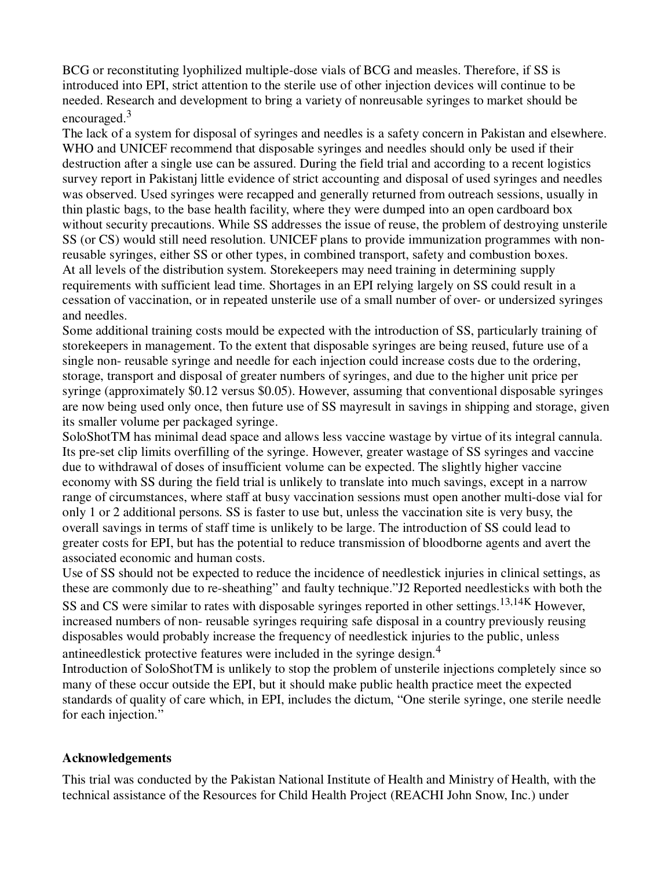BCG or reconstituting lyophilized multiple-dose vials of BCG and measles. Therefore, if SS is introduced into EPI, strict attention to the sterile use of other injection devices will continue to be needed. Research and development to bring a variety of nonreusable syringes to market should be encouraged.<sup>3</sup>

The lack of a system for disposal of syringes and needles is a safety concern in Pakistan and elsewhere. WHO and UNICEF recommend that disposable syringes and needles should only be used if their destruction after a single use can be assured. During the field trial and according to a recent logistics survey report in Pakistanj little evidence of strict accounting and disposal of used syringes and needles was observed. Used syringes were recapped and generally returned from outreach sessions, usually in thin plastic bags, to the base health facility, where they were dumped into an open cardboard box without security precautions. While SS addresses the issue of reuse, the problem of destroying unsterile SS (or CS) would still need resolution. UNICEF plans to provide immunization programmes with nonreusable syringes, either SS or other types, in combined transport, safety and combustion boxes. At all levels of the distribution system. Storekeepers may need training in determining supply requirements with sufficient lead time. Shortages in an EPI relying largely on SS could result in a cessation of vaccination, or in repeated unsterile use of a small number of over- or undersized syringes and needles.

Some additional training costs mould be expected with the introduction of SS, particularly training of storekeepers in management. To the extent that disposable syringes are being reused, future use of a single non- reusable syringe and needle for each injection could increase costs due to the ordering, storage, transport and disposal of greater numbers of syringes, and due to the higher unit price per syringe (approximately \$0.12 versus \$0.05). However, assuming that conventional disposable syringes are now being used only once, then future use of SS mayresult in savings in shipping and storage, given its smaller volume per packaged syringe.

SoloShotTM has minimal dead space and allows less vaccine wastage by virtue of its integral cannula. Its pre-set clip limits overfilling of the syringe. However, greater wastage of SS syringes and vaccine due to withdrawal of doses of insufficient volume can be expected. The slightly higher vaccine economy with SS during the field trial is unlikely to translate into much savings, except in a narrow range of circumstances, where staff at busy vaccination sessions must open another multi-dose vial for only 1 or 2 additional persons. SS is faster to use but, unless the vaccination site is very busy, the overall savings in terms of staff time is unlikely to be large. The introduction of SS could lead to greater costs for EPI, but has the potential to reduce transmission of bloodborne agents and avert the associated economic and human costs.

Use of SS should not be expected to reduce the incidence of needlestick injuries in clinical settings, as these are commonly due to re-sheathing" and faulty technique."J2 Reported needlesticks with both the SS and CS were similar to rates with disposable syringes reported in other settings.<sup>13,14K</sup> However, increased numbers of non- reusable syringes requiring safe disposal in a country previously reusing disposables would probably increase the frequency of needlestick injuries to the public, unless antineedlestick protective features were included in the syringe design.<sup>4</sup>

Introduction of SoloShotTM is unlikely to stop the problem of unsterile injections completely since so many of these occur outside the EPI, but it should make public health practice meet the expected standards of quality of care which, in EPI, includes the dictum, "One sterile syringe, one sterile needle for each injection."

### **Acknowledgements**

This trial was conducted by the Pakistan National Institute of Health and Ministry of Health, with the technical assistance of the Resources for Child Health Project (REACHI John Snow, Inc.) under